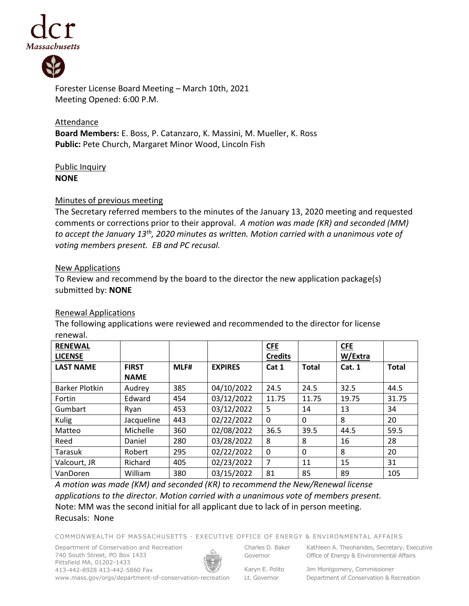



Forester License Board Meeting – March 10th, 2021 Meeting Opened: 6:00 P.M.

**Attendance Board Members:** E. Boss, P. Catanzaro, K. Massini, M. Mueller, K. Ross **Public:** Pete Church, Margaret Minor Wood, Lincoln Fish

## Public Inquiry **NONE**

#### Minutes of previous meeting

The Secretary referred members to the minutes of the January 13, 2020 meeting and requested comments or corrections prior to their approval. *A motion was made (KR) and seconded (MM) to accept the January 13 th , 2020 minutes as written. Motion carried with a unanimous vote of voting members present. EB and PC recusal.*

#### New Applications

To Review and recommend by the board to the director the new application package(s) submitted by: **NONE**

# Renewal Applications

The following applications were reviewed and recommended to the director for license renewal.

| <b>RENEWAL</b><br><b>LICENSE</b> |              |      |                | <b>CFE</b><br><b>Credits</b> |              | <b>CFE</b><br>W/Extra |              |
|----------------------------------|--------------|------|----------------|------------------------------|--------------|-----------------------|--------------|
| <b>LAST NAME</b>                 | <b>FIRST</b> | MLF# | <b>EXPIRES</b> | Cat 1                        | <b>Total</b> | Cat.1                 | <b>Total</b> |
|                                  | <b>NAME</b>  |      |                |                              |              |                       |              |
| <b>Barker Plotkin</b>            | Audrey       | 385  | 04/10/2022     | 24.5                         | 24.5         | 32.5                  | 44.5         |
| Fortin                           | Edward       | 454  | 03/12/2022     | 11.75                        | 11.75        | 19.75                 | 31.75        |
| Gumbart                          | Ryan         | 453  | 03/12/2022     | 5                            | 14           | 13                    | 34           |
| Kulig                            | Jacqueline   | 443  | 02/22/2022     | $\mathbf{0}$                 | 0            | 8                     | 20           |
| Matteo                           | Michelle     | 360  | 02/08/2022     | 36.5                         | 39.5         | 44.5                  | 59.5         |
| Reed                             | Daniel       | 280  | 03/28/2022     | 8                            | 8            | 16                    | 28           |
| Tarasuk                          | Robert       | 295  | 02/22/2022     | 0                            | $\Omega$     | 8                     | 20           |
| Valcourt, JR                     | Richard      | 405  | 02/23/2022     | 7                            | 11           | 15                    | 31           |
| VanDoren                         | William      | 380  | 03/15/2022     | 81                           | 85           | 89                    | 105          |

*A motion was made (KM) and seconded (KR) to recommend the New/Renewal license applications to the director. Motion carried with a unanimous vote of members present.* Note: MM was the second initial for all applicant due to lack of in person meeting. Recusals: None

COMMONWEALTH OF MASSACHUSETTS · EXECUTIVE OFFICE OF ENERGY & ENVIRONMENTAL AFFAIRS

Department of Conservation and Recreation 740 South Street, PO Box 1433 Pittsfield MA, 01202-1433 413-442-8928 413-442-5860 Fax



Charles D. Baker Governor

Kathleen A. Theoharides, Secretary, Executive Office of Energy & Environmental Affairs

Karyn E. Polito Lt. Governor

Jim Montgomery, Commissioner Department of Conservation & Recreation

www.mass.gov/orgs/department-of-conservation-recreation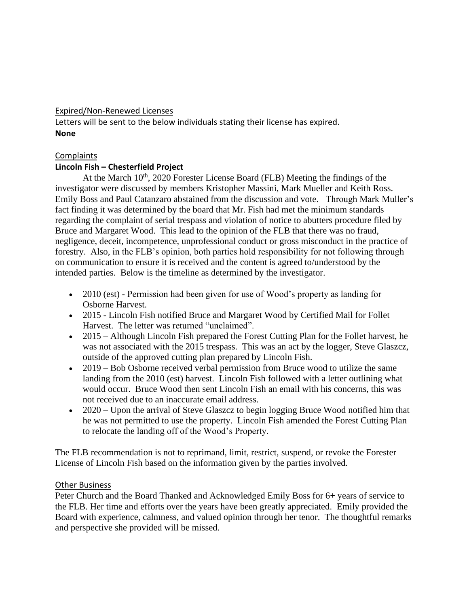## Expired/Non-Renewed Licenses

Letters will be sent to the below individuals stating their license has expired. **None**

#### **Complaints**

# **Lincoln Fish – Chesterfield Project**

At the March 10<sup>th</sup>, 2020 Forester License Board (FLB) Meeting the findings of the investigator were discussed by members Kristopher Massini, Mark Mueller and Keith Ross. Emily Boss and Paul Catanzaro abstained from the discussion and vote. Through Mark Muller's fact finding it was determined by the board that Mr. Fish had met the minimum standards regarding the complaint of serial trespass and violation of notice to abutters procedure filed by Bruce and Margaret Wood. This lead to the opinion of the FLB that there was no fraud, negligence, deceit, incompetence, unprofessional conduct or gross misconduct in the practice of forestry. Also, in the FLB's opinion, both parties hold responsibility for not following through on communication to ensure it is received and the content is agreed to/understood by the intended parties. Below is the timeline as determined by the investigator.

- 2010 (est) Permission had been given for use of Wood's property as landing for Osborne Harvest.
- 2015 Lincoln Fish notified Bruce and Margaret Wood by Certified Mail for Follet Harvest. The letter was returned "unclaimed".
- 2015 Although Lincoln Fish prepared the Forest Cutting Plan for the Follet harvest, he was not associated with the 2015 trespass. This was an act by the logger, Steve Glaszcz, outside of the approved cutting plan prepared by Lincoln Fish.
- 2019 Bob Osborne received verbal permission from Bruce wood to utilize the same landing from the 2010 (est) harvest. Lincoln Fish followed with a letter outlining what would occur. Bruce Wood then sent Lincoln Fish an email with his concerns, this was not received due to an inaccurate email address.
- 2020 Upon the arrival of Steve Glaszcz to begin logging Bruce Wood notified him that he was not permitted to use the property. Lincoln Fish amended the Forest Cutting Plan to relocate the landing off of the Wood's Property.

The FLB recommendation is not to reprimand, limit, restrict, suspend, or revoke the Forester License of Lincoln Fish based on the information given by the parties involved.

#### Other Business

Peter Church and the Board Thanked and Acknowledged Emily Boss for 6+ years of service to the FLB. Her time and efforts over the years have been greatly appreciated. Emily provided the Board with experience, calmness, and valued opinion through her tenor. The thoughtful remarks and perspective she provided will be missed.